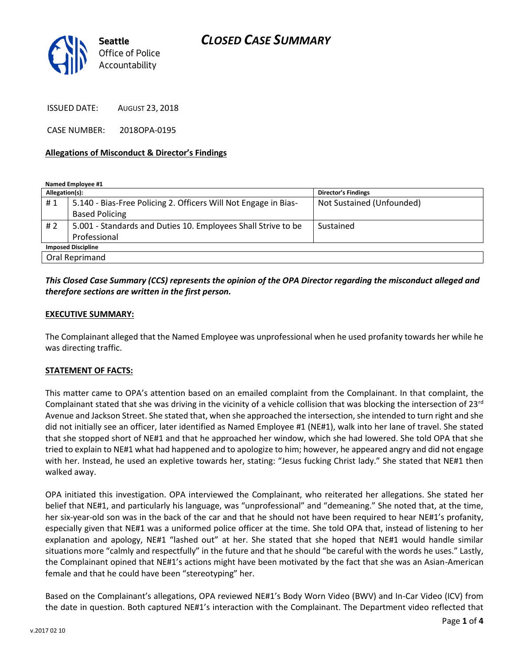# *CLOSED CASE SUMMARY*



ISSUED DATE: AUGUST 23, 2018

CASE NUMBER: 2018OPA-0195

#### **Allegations of Misconduct & Director's Findings**

**Named Employee #1**

| Allegation(s):            |                                                                 | <b>Director's Findings</b> |
|---------------------------|-----------------------------------------------------------------|----------------------------|
| #1                        | 5.140 - Bias-Free Policing 2. Officers Will Not Engage in Bias- | Not Sustained (Unfounded)  |
|                           | <b>Based Policing</b>                                           |                            |
| # 2                       | 5.001 - Standards and Duties 10. Employees Shall Strive to be   | Sustained                  |
|                           | Professional                                                    |                            |
| <b>Imposed Discipline</b> |                                                                 |                            |
| Oral Reprimand            |                                                                 |                            |

## *This Closed Case Summary (CCS) represents the opinion of the OPA Director regarding the misconduct alleged and therefore sections are written in the first person.*

#### **EXECUTIVE SUMMARY:**

The Complainant alleged that the Named Employee was unprofessional when he used profanity towards her while he was directing traffic.

#### **STATEMENT OF FACTS:**

This matter came to OPA's attention based on an emailed complaint from the Complainant. In that complaint, the Complainant stated that she was driving in the vicinity of a vehicle collision that was blocking the intersection of 23<sup>rd</sup> Avenue and Jackson Street. She stated that, when she approached the intersection, she intended to turn right and she did not initially see an officer, later identified as Named Employee #1 (NE#1), walk into her lane of travel. She stated that she stopped short of NE#1 and that he approached her window, which she had lowered. She told OPA that she tried to explain to NE#1 what had happened and to apologize to him; however, he appeared angry and did not engage with her. Instead, he used an expletive towards her, stating: "Jesus fucking Christ lady." She stated that NE#1 then walked away.

OPA initiated this investigation. OPA interviewed the Complainant, who reiterated her allegations. She stated her belief that NE#1, and particularly his language, was "unprofessional" and "demeaning." She noted that, at the time, her six-year-old son was in the back of the car and that he should not have been required to hear NE#1's profanity, especially given that NE#1 was a uniformed police officer at the time. She told OPA that, instead of listening to her explanation and apology, NE#1 "lashed out" at her. She stated that she hoped that NE#1 would handle similar situations more "calmly and respectfully" in the future and that he should "be careful with the words he uses." Lastly, the Complainant opined that NE#1's actions might have been motivated by the fact that she was an Asian-American female and that he could have been "stereotyping" her.

Based on the Complainant's allegations, OPA reviewed NE#1's Body Worn Video (BWV) and In-Car Video (ICV) from the date in question. Both captured NE#1's interaction with the Complainant. The Department video reflected that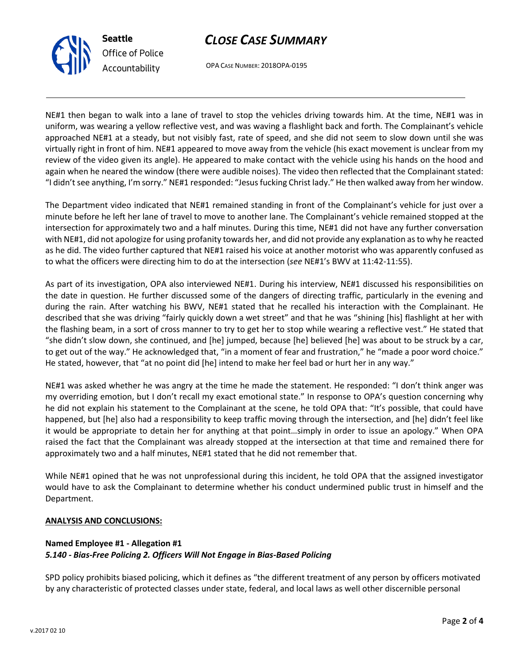



OPA CASE NUMBER: 2018OPA-0195

NE#1 then began to walk into a lane of travel to stop the vehicles driving towards him. At the time, NE#1 was in uniform, was wearing a yellow reflective vest, and was waving a flashlight back and forth. The Complainant's vehicle approached NE#1 at a steady, but not visibly fast, rate of speed, and she did not seem to slow down until she was virtually right in front of him. NE#1 appeared to move away from the vehicle (his exact movement is unclear from my review of the video given its angle). He appeared to make contact with the vehicle using his hands on the hood and again when he neared the window (there were audible noises). The video then reflected that the Complainant stated: "I didn't see anything, I'm sorry." NE#1 responded: "Jesus fucking Christ lady." He then walked away from her window.

The Department video indicated that NE#1 remained standing in front of the Complainant's vehicle for just over a minute before he left her lane of travel to move to another lane. The Complainant's vehicle remained stopped at the intersection for approximately two and a half minutes. During this time, NE#1 did not have any further conversation with NE#1, did not apologize for using profanity towards her, and did not provide any explanation as to why he reacted as he did. The video further captured that NE#1 raised his voice at another motorist who was apparently confused as to what the officers were directing him to do at the intersection (*see* NE#1's BWV at 11:42-11:55).

As part of its investigation, OPA also interviewed NE#1. During his interview, NE#1 discussed his responsibilities on the date in question. He further discussed some of the dangers of directing traffic, particularly in the evening and during the rain. After watching his BWV, NE#1 stated that he recalled his interaction with the Complainant. He described that she was driving "fairly quickly down a wet street" and that he was "shining [his] flashlight at her with the flashing beam, in a sort of cross manner to try to get her to stop while wearing a reflective vest." He stated that "she didn't slow down, she continued, and [he] jumped, because [he] believed [he] was about to be struck by a car, to get out of the way." He acknowledged that, "in a moment of fear and frustration," he "made a poor word choice." He stated, however, that "at no point did [he] intend to make her feel bad or hurt her in any way."

NE#1 was asked whether he was angry at the time he made the statement. He responded: "I don't think anger was my overriding emotion, but I don't recall my exact emotional state." In response to OPA's question concerning why he did not explain his statement to the Complainant at the scene, he told OPA that: "It's possible, that could have happened, but [he] also had a responsibility to keep traffic moving through the intersection, and [he] didn't feel like it would be appropriate to detain her for anything at that point…simply in order to issue an apology." When OPA raised the fact that the Complainant was already stopped at the intersection at that time and remained there for approximately two and a half minutes, NE#1 stated that he did not remember that.

While NE#1 opined that he was not unprofessional during this incident, he told OPA that the assigned investigator would have to ask the Complainant to determine whether his conduct undermined public trust in himself and the Department.

## **ANALYSIS AND CONCLUSIONS:**

# **Named Employee #1 - Allegation #1** *5.140 - Bias-Free Policing 2. Officers Will Not Engage in Bias-Based Policing*

SPD policy prohibits biased policing, which it defines as "the different treatment of any person by officers motivated by any characteristic of protected classes under state, federal, and local laws as well other discernible personal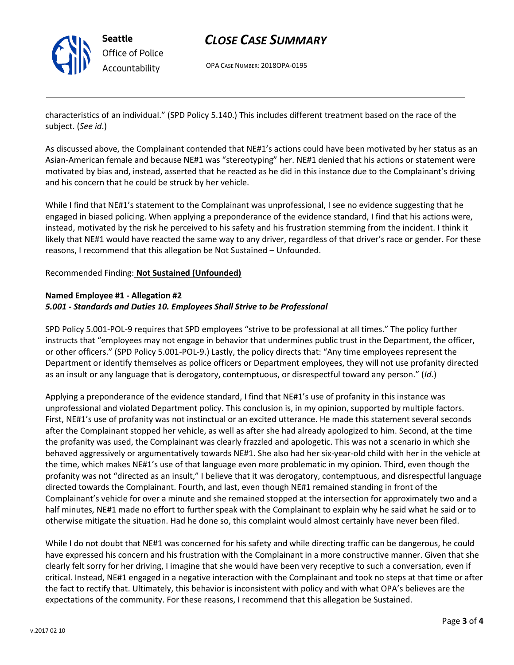

# *CLOSE CASE SUMMARY*

OPA CASE NUMBER: 2018OPA-0195

characteristics of an individual." (SPD Policy 5.140.) This includes different treatment based on the race of the subject. (*See id*.)

As discussed above, the Complainant contended that NE#1's actions could have been motivated by her status as an Asian-American female and because NE#1 was "stereotyping" her. NE#1 denied that his actions or statement were motivated by bias and, instead, asserted that he reacted as he did in this instance due to the Complainant's driving and his concern that he could be struck by her vehicle.

While I find that NE#1's statement to the Complainant was unprofessional, I see no evidence suggesting that he engaged in biased policing. When applying a preponderance of the evidence standard, I find that his actions were, instead, motivated by the risk he perceived to his safety and his frustration stemming from the incident. I think it likely that NE#1 would have reacted the same way to any driver, regardless of that driver's race or gender. For these reasons, I recommend that this allegation be Not Sustained – Unfounded.

#### Recommended Finding: **Not Sustained (Unfounded)**

## **Named Employee #1 - Allegation #2** *5.001 - Standards and Duties 10. Employees Shall Strive to be Professional*

SPD Policy 5.001-POL-9 requires that SPD employees "strive to be professional at all times." The policy further instructs that "employees may not engage in behavior that undermines public trust in the Department, the officer, or other officers." (SPD Policy 5.001-POL-9.) Lastly, the policy directs that: "Any time employees represent the Department or identify themselves as police officers or Department employees, they will not use profanity directed as an insult or any language that is derogatory, contemptuous, or disrespectful toward any person." (*Id*.)

Applying a preponderance of the evidence standard, I find that NE#1's use of profanity in this instance was unprofessional and violated Department policy. This conclusion is, in my opinion, supported by multiple factors. First, NE#1's use of profanity was not instinctual or an excited utterance. He made this statement several seconds after the Complainant stopped her vehicle, as well as after she had already apologized to him. Second, at the time the profanity was used, the Complainant was clearly frazzled and apologetic. This was not a scenario in which she behaved aggressively or argumentatively towards NE#1. She also had her six-year-old child with her in the vehicle at the time, which makes NE#1's use of that language even more problematic in my opinion. Third, even though the profanity was not "directed as an insult," I believe that it was derogatory, contemptuous, and disrespectful language directed towards the Complainant. Fourth, and last, even though NE#1 remained standing in front of the Complainant's vehicle for over a minute and she remained stopped at the intersection for approximately two and a half minutes, NE#1 made no effort to further speak with the Complainant to explain why he said what he said or to otherwise mitigate the situation. Had he done so, this complaint would almost certainly have never been filed.

While I do not doubt that NE#1 was concerned for his safety and while directing traffic can be dangerous, he could have expressed his concern and his frustration with the Complainant in a more constructive manner. Given that she clearly felt sorry for her driving, I imagine that she would have been very receptive to such a conversation, even if critical. Instead, NE#1 engaged in a negative interaction with the Complainant and took no steps at that time or after the fact to rectify that. Ultimately, this behavior is inconsistent with policy and with what OPA's believes are the expectations of the community. For these reasons, I recommend that this allegation be Sustained.